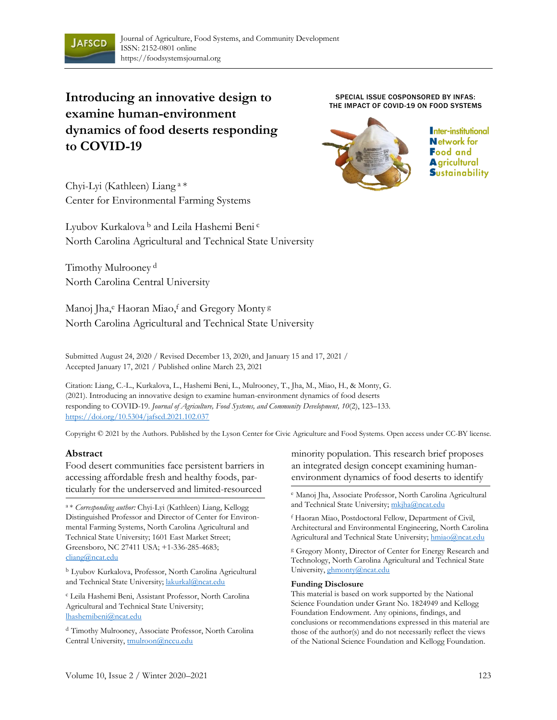

# **Introducing an innovative design to examine human-environment dynamics of food deserts responding to COVID-19**

SPECIAL ISSUE COSPONSORED BY INFAS: THE IMPACT OF COVID-19 ON FOOD SYSTEMS



Inter-institutional **Network for Food and A** gricultural **S**ustainability

Chyi-Lyi (Kathleen) Liang <sup>a</sup>\* Center for Environmental Farming Systems

Lyubov Kurkalova <sup>b</sup> and Leila Hashemi Beni <sup>c</sup> North Carolina Agricultural and Technical State University

Timothy Mulrooney <sup>d</sup> North Carolina Central University

Manoj Jha,<sup>e</sup> Haoran Miao,<sup>f</sup> and Gregory Monty<sup>g</sup> North Carolina Agricultural and Technical State University

Submitted August 24, 2020 / Revised December 13, 2020, and January 15 and 17, 2021 / Accepted January 17, 2021 / Published online March 23, 2021

Citation: Liang, C.-L., Kurkalova, L., Hashemi Beni, L., Mulrooney, T., Jha, M., Miao, H., & Monty, G. (2021). Introducing an innovative design to examine human-environment dynamics of food deserts responding to COVID-19. *Journal of Agriculture, Food Systems, and Community Development, 10*(2), 123–133. https://doi.org/10.5304/jafscd.2021.102.037

Copyright © 2021 by the Authors. Published by the Lyson Center for Civic Agriculture and Food Systems. Open access under CC-BY license.

#### **Abstract**

Food desert communities face persistent barriers in accessing affordable fresh and healthy foods, particularly for the underserved and limited-resourced

<sup>a</sup>\* *Corresponding author:* Chyi-Lyi (Kathleen) Liang, Kellogg Distinguished Professor and Director of Center for Environmental Farming Systems, North Carolina Agricultural and Technical State University; 1601 East Market Street; Greensboro, NC 27411 USA; +1-336-285-4683; cliang@ncat.edu

<sup>b</sup> Lyubov Kurkalova, Professor, North Carolina Agricultural and Technical State University; lakurkal@ncat.edu

<sup>c</sup> Leila Hashemi Beni, Assistant Professor, North Carolina Agricultural and Technical State University; lhashemibeni@ncat.edu

<sup>d</sup> Timothy Mulrooney, Associate Professor, North Carolina Central University, tmulroon@nccu.edu

minority population. This research brief proposes an integrated design concept examining humanenvironment dynamics of food deserts to identify

<sup>e</sup> Manoj Jha, Associate Professor, North Carolina Agricultural and Technical State University; mkjha@ncat.edu

<sup>f</sup> Haoran Miao, Postdoctoral Fellow, Department of Civil, Architectural and Environmental Engineering, North Carolina Agricultural and Technical State University; hmiao@ncat.edu

<sup>g</sup> Gregory Monty, Director of Center for Energy Research and Technology, North Carolina Agricultural and Technical State University, ghmonty@ncat.edu

#### **Funding Disclosure**

This material is based on work supported by the National Science Foundation under Grant No. 1824949 and Kellogg Foundation Endowment. Any opinions, findings, and conclusions or recommendations expressed in this material are those of the author(s) and do not necessarily reflect the views of the National Science Foundation and Kellogg Foundation.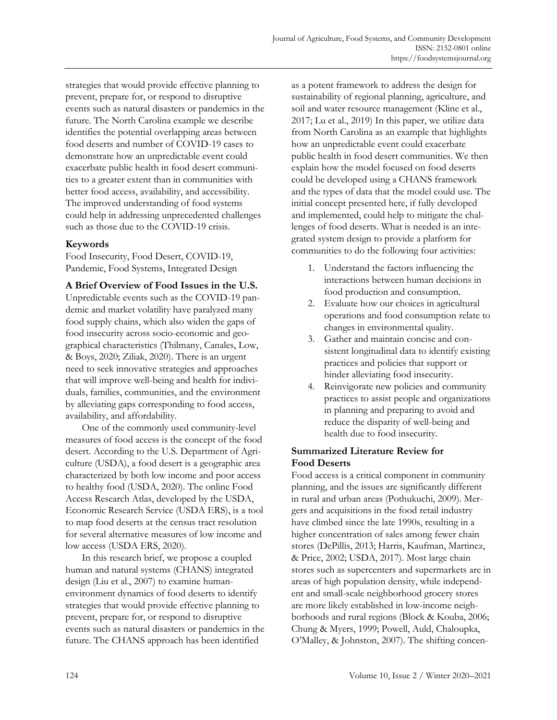strategies that would provide effective planning to prevent, prepare for, or respond to disruptive events such as natural disasters or pandemics in the future. The North Carolina example we describe identifies the potential overlapping areas between food deserts and number of COVID-19 cases to demonstrate how an unpredictable event could exacerbate public health in food desert communities to a greater extent than in communities with better food access, availability, and accessibility. The improved understanding of food systems could help in addressing unprecedented challenges such as those due to the COVID-19 crisis.

# **Keywords**

Food Insecurity, Food Desert, COVID-19, Pandemic, Food Systems, Integrated Design

**A Brief Overview of Food Issues in the U.S.**

Unpredictable events such as the COVID-19 pandemic and market volatility have paralyzed many food supply chains, which also widen the gaps of food insecurity across socio-economic and geographical characteristics (Thilmany, Canales, Low, & Boys, 2020; Ziliak, 2020). There is an urgent need to seek innovative strategies and approaches that will improve well-being and health for individuals, families, communities, and the environment by alleviating gaps corresponding to food access, availability, and affordability.

One of the commonly used community-level measures of food access is the concept of the food desert. According to the U.S. Department of Agriculture (USDA), a food desert is a geographic area characterized by both low income and poor access to healthy food (USDA, 2020). The online Food Access Research Atlas, developed by the USDA, Economic Research Service (USDA ERS), is a tool to map food deserts at the census tract resolution for several alternative measures of low income and low access (USDA ERS, 2020).

In this research brief, we propose a coupled human and natural systems (CHANS) integrated design (Liu et al., 2007) to examine humanenvironment dynamics of food deserts to identify strategies that would provide effective planning to prevent, prepare for, or respond to disruptive events such as natural disasters or pandemics in the future. The CHANS approach has been identified

as a potent framework to address the design for sustainability of regional planning, agriculture, and soil and water resource management (Kline et al., 2017; Lu et al., 2019) In this paper, we utilize data from North Carolina as an example that highlights how an unpredictable event could exacerbate public health in food desert communities. We then explain how the model focused on food deserts could be developed using a CHANS framework and the types of data that the model could use. The initial concept presented here, if fully developed and implemented, could help to mitigate the challenges of food deserts. What is needed is an integrated system design to provide a platform for communities to do the following four activities:

- 1. Understand the factors influencing the interactions between human decisions in food production and consumption.
- 2. Evaluate how our choices in agricultural operations and food consumption relate to changes in environmental quality.
- 3. Gather and maintain concise and consistent longitudinal data to identify existing practices and policies that support or hinder alleviating food insecurity.
- 4. Reinvigorate new policies and community practices to assist people and organizations in planning and preparing to avoid and reduce the disparity of well-being and health due to food insecurity.

# **Summarized Literature Review for Food Deserts**

Food access is a critical component in community planning, and the issues are significantly different in rural and urban areas (Pothukuchi, 2009). Mergers and acquisitions in the food retail industry have climbed since the late 1990s, resulting in a higher concentration of sales among fewer chain stores (DePillis, 2013; Harris, Kaufman, Martinez, & Price, 2002; USDA, 2017). Most large chain stores such as supercenters and supermarkets are in areas of high population density, while independent and small-scale neighborhood grocery stores are more likely established in low-income neighborhoods and rural regions (Block & Kouba, 2006; Chung & Myers, 1999; Powell, Auld, Chaloupka, O'Malley, & Johnston, 2007). The shifting concen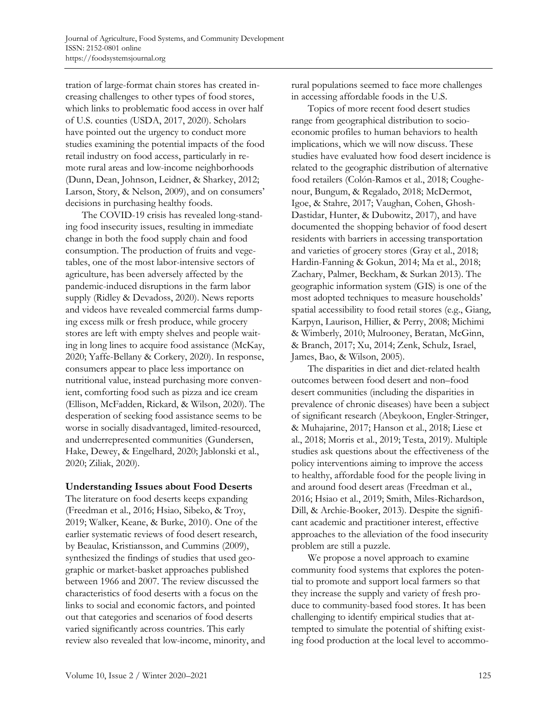tration of large-format chain stores has created increasing challenges to other types of food stores, which links to problematic food access in over half of U.S. counties (USDA, 2017, 2020). Scholars have pointed out the urgency to conduct more studies examining the potential impacts of the food retail industry on food access, particularly in remote rural areas and low-income neighborhoods (Dunn, Dean, Johnson, Leidner, & Sharkey, 2012; Larson, Story, & Nelson, 2009), and on consumers' decisions in purchasing healthy foods.

The COVID-19 crisis has revealed long-standing food insecurity issues, resulting in immediate change in both the food supply chain and food consumption. The production of fruits and vegetables, one of the most labor-intensive sectors of agriculture, has been adversely affected by the pandemic-induced disruptions in the farm labor supply (Ridley & Devadoss, 2020). News reports and videos have revealed commercial farms dumping excess milk or fresh produce, while grocery stores are left with empty shelves and people waiting in long lines to acquire food assistance (McKay, 2020; Yaffe-Bellany & Corkery, 2020). In response, consumers appear to place less importance on nutritional value, instead purchasing more convenient, comforting food such as pizza and ice cream (Ellison, McFadden, Rickard, & Wilson, 2020). The desperation of seeking food assistance seems to be worse in socially disadvantaged, limited-resourced, and underrepresented communities (Gundersen, Hake, Dewey, & Engelhard, 2020; Jablonski et al., 2020; Ziliak, 2020).

## **Understanding Issues about Food Deserts**

The literature on food deserts keeps expanding (Freedman et al., 2016; Hsiao, Sibeko, & Troy, 2019; Walker, Keane, & Burke, 2010). One of the earlier systematic reviews of food desert research, by Beaulac, Kristiansson, and Cummins (2009), synthesized the findings of studies that used geographic or market-basket approaches published between 1966 and 2007. The review discussed the characteristics of food deserts with a focus on the links to social and economic factors, and pointed out that categories and scenarios of food deserts varied significantly across countries. This early review also revealed that low-income, minority, and rural populations seemed to face more challenges in accessing affordable foods in the U.S.

Topics of more recent food desert studies range from geographical distribution to socioeconomic profiles to human behaviors to health implications, which we will now discuss. These studies have evaluated how food desert incidence is related to the geographic distribution of alternative food retailers (Colón-Ramos et al., 2018; Coughenour, Bungum, & Regalado, 2018; McDermot, Igoe, & Stahre, 2017; Vaughan, Cohen, Ghosh-Dastidar, Hunter, & Dubowitz, 2017), and have documented the shopping behavior of food desert residents with barriers in accessing transportation and varieties of grocery stores (Gray et al., 2018; Hardin-Fanning & Gokun, 2014; Ma et al., 2018; Zachary, Palmer, Beckham, & Surkan 2013). The geographic information system (GIS) is one of the most adopted techniques to measure households' spatial accessibility to food retail stores (e.g., Giang, Karpyn, Laurison, Hillier, & Perry, 2008; Michimi & Wimberly, 2010; Mulrooney, Beratan, McGinn, & Branch, 2017; Xu, 2014; Zenk, Schulz, Israel, James, Bao, & Wilson, 2005).

The disparities in diet and diet-related health outcomes between food desert and non–food desert communities (including the disparities in prevalence of chronic diseases) have been a subject of significant research (Abeykoon, Engler-Stringer, & Muhajarine, 2017; Hanson et al., 2018; Liese et al., 2018; Morris et al., 2019; Testa, 2019). Multiple studies ask questions about the effectiveness of the policy interventions aiming to improve the access to healthy, affordable food for the people living in and around food desert areas (Freedman et al., 2016; Hsiao et al., 2019; Smith, Miles-Richardson, Dill, & Archie-Booker, 2013). Despite the significant academic and practitioner interest, effective approaches to the alleviation of the food insecurity problem are still a puzzle.

We propose a novel approach to examine community food systems that explores the potential to promote and support local farmers so that they increase the supply and variety of fresh produce to community-based food stores. It has been challenging to identify empirical studies that attempted to simulate the potential of shifting existing food production at the local level to accommo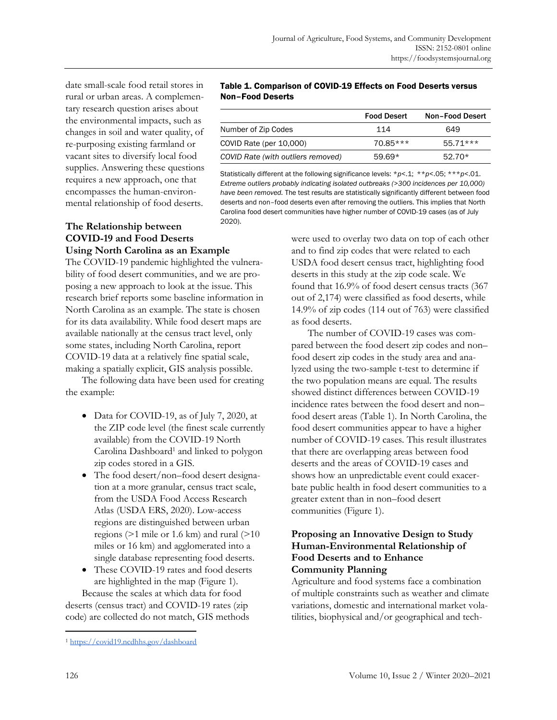date small-scale food retail stores in rural or urban areas. A complementary research question arises about the environmental impacts, such as changes in soil and water quality, of re-purposing existing farmland or vacant sites to diversify local food supplies. Answering these questions requires a new approach, one that encompasses the human-environmental relationship of food deserts.

## **The Relationship between COVID-19 and Food Deserts Using North Carolina as an Example**

The COVID-19 pandemic highlighted the vulnerability of food desert communities, and we are proposing a new approach to look at the issue. This research brief reports some baseline information in North Carolina as an example. The state is chosen for its data availability. While food desert maps are available nationally at the census tract level, only some states, including North Carolina, report COVID-19 data at a relatively fine spatial scale, making a spatially explicit, GIS analysis possible.

The following data have been used for creating the example:

- Data for COVID-19, as of July 7, 2020, at the ZIP code level (the finest scale currently available) from the COVID-19 North Carolina Dashboard<sup>1</sup> and linked to polygon zip codes stored in a GIS.
- The food desert/non–food desert designation at a more granular, census tract scale, from the USDA Food Access Research Atlas (USDA ERS, 2020). Low-access regions are distinguished between urban regions (>1 mile or 1.6 km) and rural (>10 miles or 16 km) and agglomerated into a single database representing food deserts.
- These COVID-19 rates and food deserts are highlighted in the map (Figure 1). Because the scales at which data for food

deserts (census tract) and COVID-19 rates (zip code) are collected do not match, GIS methods

#### Table 1. Comparison of COVID-19 Effects on Food Deserts versus Non–Food Deserts

|                                    | <b>Food Desert</b> | <b>Non-Food Desert</b> |
|------------------------------------|--------------------|------------------------|
| Number of Zip Codes                | 114                | 649                    |
| COVID Rate (per 10,000)            | $70.85***$         | $55.71***$             |
| COVID Rate (with outliers removed) | $59.69*$           | $52.70*$               |

Statistically different at the following significance levels: \**p*<.1; \*\**p*<.05; \*\*\**p*<.01. *Extreme outliers probably indicating isolated outbreaks (>300 incidences per 10,000) have been removed.* The test results are statistically significantly different between food deserts and non–food deserts even after removing the outliers. This implies that North Carolina food desert communities have higher number of COVID-19 cases (as of July 2020).

> were used to overlay two data on top of each other and to find zip codes that were related to each USDA food desert census tract, highlighting food deserts in this study at the zip code scale. We found that 16.9% of food desert census tracts (367 out of 2,174) were classified as food deserts, while 14.9% of zip codes (114 out of 763) were classified as food deserts.

The number of COVID-19 cases was compared between the food desert zip codes and non– food desert zip codes in the study area and analyzed using the two-sample t-test to determine if the two population means are equal. The results showed distinct differences between COVID-19 incidence rates between the food desert and non– food desert areas (Table 1). In North Carolina, the food desert communities appear to have a higher number of COVID-19 cases. This result illustrates that there are overlapping areas between food deserts and the areas of COVID-19 cases and shows how an unpredictable event could exacerbate public health in food desert communities to a greater extent than in non–food desert communities (Figure 1).

## **Proposing an Innovative Design to Study Human-Environmental Relationship of Food Deserts and to Enhance Community Planning**

Agriculture and food systems face a combination of multiple constraints such as weather and climate variations, domestic and international market volatilities, biophysical and/or geographical and tech-

<sup>1</sup> https://covid19.ncdhhs.gov/dashboard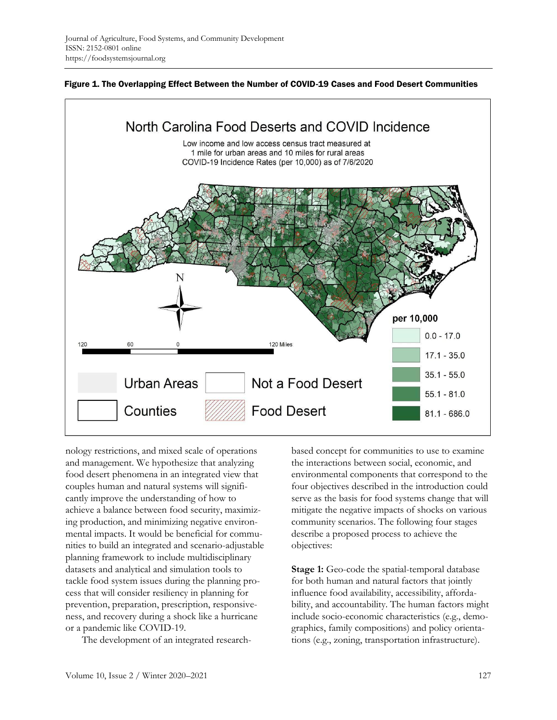



nology restrictions, and mixed scale of operations and management. We hypothesize that analyzing food desert phenomena in an integrated view that couples human and natural systems will significantly improve the understanding of how to achieve a balance between food security, maximizing production, and minimizing negative environmental impacts. It would be beneficial for communities to build an integrated and scenario-adjustable planning framework to include multidisciplinary datasets and analytical and simulation tools to tackle food system issues during the planning process that will consider resiliency in planning for prevention, preparation, prescription, responsiveness, and recovery during a shock like a hurricane or a pandemic like COVID-19.

The development of an integrated research-

based concept for communities to use to examine the interactions between social, economic, and environmental components that correspond to the four objectives described in the introduction could serve as the basis for food systems change that will mitigate the negative impacts of shocks on various community scenarios. The following four stages describe a proposed process to achieve the objectives:

**Stage 1:** Geo-code the spatial-temporal database for both human and natural factors that jointly influence food availability, accessibility, affordability, and accountability. The human factors might include socio-economic characteristics (e.g., demographics, family compositions) and policy orientations (e.g., zoning, transportation infrastructure).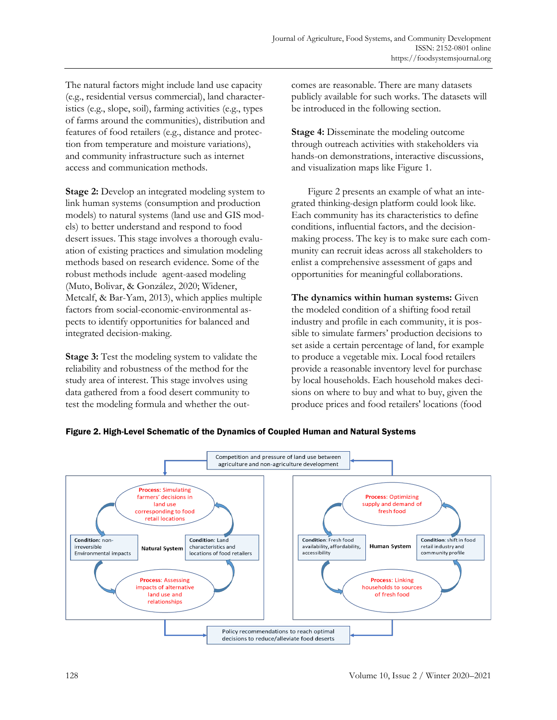The natural factors might include land use capacity (e.g., residential versus commercial), land characteristics (e.g., slope, soil), farming activities (e.g., types of farms around the communities), distribution and features of food retailers (e.g., distance and protection from temperature and moisture variations), and community infrastructure such as internet access and communication methods.

**Stage 2:** Develop an integrated modeling system to link human systems (consumption and production models) to natural systems (land use and GIS models) to better understand and respond to food desert issues. This stage involves a thorough evaluation of existing practices and simulation modeling methods based on research evidence. Some of the robust methods include agent-aased modeling (Muto, Bolivar, & González, 2020; Widener, Metcalf, & Bar-Yam, 2013), which applies multiple factors from social-economic-environmental aspects to identify opportunities for balanced and integrated decision-making.

**Stage 3:** Test the modeling system to validate the reliability and robustness of the method for the study area of interest. This stage involves using data gathered from a food desert community to test the modeling formula and whether the outcomes are reasonable. There are many datasets publicly available for such works. The datasets will be introduced in the following section.

**Stage 4:** Disseminate the modeling outcome through outreach activities with stakeholders via hands-on demonstrations, interactive discussions, and visualization maps like Figure 1.

Figure 2 presents an example of what an integrated thinking-design platform could look like. Each community has its characteristics to define conditions, influential factors, and the decisionmaking process. The key is to make sure each community can recruit ideas across all stakeholders to enlist a comprehensive assessment of gaps and opportunities for meaningful collaborations.

**The dynamics within human systems:** Given the modeled condition of a shifting food retail industry and profile in each community, it is possible to simulate farmers' production decisions to set aside a certain percentage of land, for example to produce a vegetable mix. Local food retailers provide a reasonable inventory level for purchase by local households. Each household makes decisions on where to buy and what to buy, given the produce prices and food retailers' locations (food



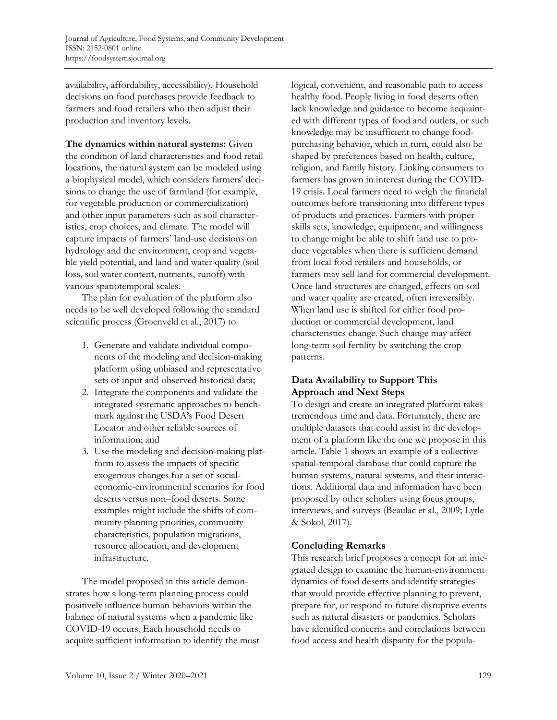availability, affordability, accessibility). Household decisions on food purchases provide feedback to farmers and food retailers who then adjust their production and inventory levels.

**The dynamics within natural systems:** Given the condition of land characteristics and food retail locations, the natural system can be modeled using a biophysical model, which considers farmers' decisions to change the use of farmland (for example, for vegetable production or commercialization) and other input parameters such as soil characteristics, crop choices, and climate. The model will capture impacts of farmers' land-use decisions on hydrology and the environment, crop and vegetable yield potential, and land and water quality (soil loss, soil water content, nutrients, runoff) with various spatiotemporal scales.

The plan for evaluation of the platform also needs to be well developed following the standard scientific process (Groenveld et al., 2017) to

- 1. Generate and validate individual components of the modeling and decision-making platform using unbiased and representative sets of input and observed historical data;
- 2. Integrate the components and validate the integrated systematic approaches to benchmark against the USDA's Food Desert Locator and other reliable sources of information; and
- 3. Use the modeling and decision-making platform to assess the impacts of specific exogenous changes for a set of socialeconomic-environmental scenarios for food deserts versus non–food deserts. Some examples might include the shifts of community planning priorities, community characteristics, population migrations, resource allocation, and development infrastructure.

The model proposed in this article demonstrates how a long-term planning process could positively influence human behaviors within the balance of natural systems when a pandemic like COVID-19 occurs. Each household needs to acquire sufficient information to identify the most logical, convenient, and reasonable path to access healthy food. People living in food deserts often lack knowledge and guidance to become acquainted with different types of food and outlets, or such knowledge may be insufficient to change foodpurchasing behavior, which in turn, could also be shaped by preferences based on health, culture, religion, and family history. Linking consumers to farmers has grown in interest during the COVID-19 crisis. Local farmers need to weigh the financial outcomes before transitioning into different types of products and practices. Farmers with proper skills sets, knowledge, equipment, and willingness to change might be able to shift land use to produce vegetables when there is sufficient demand from local food retailers and households, or farmers may sell land for commercial development. Once land structures are changed, effects on soil and water quality are created, often irreversibly. When land use is shifted for either food production or commercial development, land characteristics change. Such change may affect long-term soil fertility by switching the crop patterns.

# **Data Availability to Support This Approach and Next Steps**

To design and create an integrated platform takes tremendous time and data. Fortunately, there are multiple datasets that could assist in the development of a platform like the one we propose in this article. Table 1 shows an example of a collective spatial-temporal database that could capture the human systems, natural systems, and their interactions. Additional data and information have been proposed by other scholars using focus groups, interviews, and surveys (Beaulac et al., 2009; Lytle & Sokol, 2017).

# **Concluding Remarks**

This research brief proposes a concept for an integrated design to examine the human-environment dynamics of food deserts and identify strategies that would provide effective planning to prevent, prepare for, or respond to future disruptive events such as natural disasters or pandemics. Scholars have identified concerns and correlations between food access and health disparity for the popula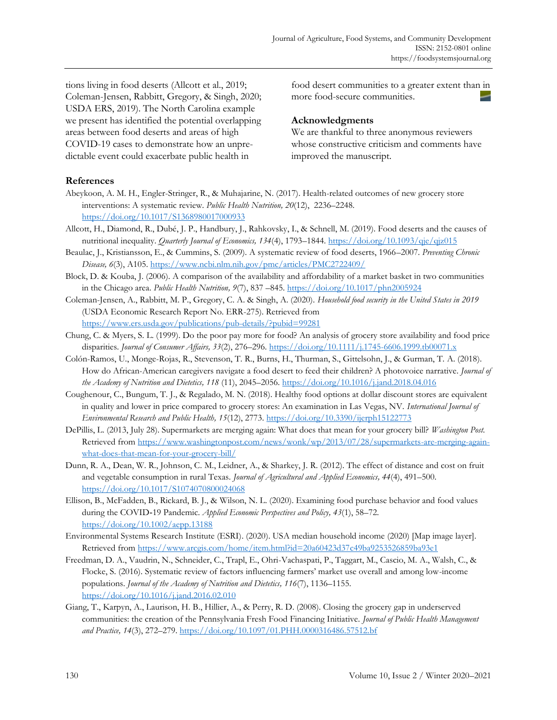tions living in food deserts (Allcott et al., 2019; Coleman-Jensen, Rabbitt, Gregory, & Singh, 2020; USDA ERS, 2019). The North Carolina example we present has identified the potential overlapping areas between food deserts and areas of high COVID-19 cases to demonstrate how an unpredictable event could exacerbate public health in

food desert communities to a greater extent than in more food-secure communities.

## **Acknowledgments**

We are thankful to three anonymous reviewers whose constructive criticism and comments have improved the manuscript.

## **References**

- Abeykoon, A. M. H., Engler-Stringer, R., & Muhajarine, N. (2017). Health-related outcomes of new grocery store interventions: A systematic review. *Public Health Nutrition, 20*(12), 2236–2248. https://doi.org/10.1017/S1368980017000933
- Allcott, H., Diamond, R., Dubé, J. P., Handbury, J., Rahkovsky, I., & Schnell, M. (2019). Food deserts and the causes of nutritional inequality. *Quarterly Journal of Economics, 134*(4), 1793–1844. https://doi.org/10.1093/qje/qjz015
- Beaulac, J., Kristiansson, E., & Cummins, S. (2009). A systematic review of food deserts, 1966–2007. *Preventing Chronic Disease, 6*(3), A105. https://www.ncbi.nlm.nih.gov/pmc/articles/PMC2722409/
- Block, D. & Kouba, J. (2006). A comparison of the availability and affordability of a market basket in two communities in the Chicago area. *Public Health Nutrition, 9*(7), 837 –845. https://doi.org/10.1017/phn2005924
- Coleman-Jensen, A., Rabbitt, M. P., Gregory, C. A. & Singh, A. (2020). *Household food security in the United States in 2019* (USDA Economic Research Report No. ERR-275). Retrieved from https://www.ers.usda.gov/publications/pub-details/?pubid=99281
- Chung, C. & Myers, S. L. (1999). Do the poor pay more for food? An analysis of grocery store availability and food price disparities. *Journal of Consumer Affairs, 33*(2), 276–296. https://doi.org/10.1111/j.1745-6606.1999.tb00071.x
- Colón-Ramos, U., Monge-Rojas, R., Stevenson, T. R., Burns, H., Thurman, S., Gittelsohn, J., & Gurman, T. A. (2018). How do African-American caregivers navigate a food desert to feed their children? A photovoice narrative. *Journal of the Academy of Nutrition and Dietetics, 118* (11), 2045–2056. https://doi.org/10.1016/j.jand.2018.04.016
- Coughenour, C., Bungum, T. J., & Regalado, M. N. (2018). Healthy food options at dollar discount stores are equivalent in quality and lower in price compared to grocery stores: An examination in Las Vegas, NV. *International Journal of Environmental Research and Public Health, 15*(12), 2773. https://doi.org/10.3390/ijerph15122773
- DePillis, L. (2013, July 28). Supermarkets are merging again: What does that mean for your grocery bill? *Washington Post.* [Retrieved from https://www.washingtonpost.com/news/wonk/wp/2013/07/28/supermarkets-are-merging-again](https://www.washingtonpost.com/news/wonk/wp/2013/07/28/supermarkets-are-merging-again-what-does-that-mean-for-your-grocery-bill/)what-does-that-mean-for-your-grocery-bill/
- Dunn, R. A., Dean, W. R., Johnson, C. M., Leidner, A., & Sharkey, J. R. (2012). The effect of distance and cost on fruit and vegetable consumption in rural Texas. *Journal of Agricultural and Applied Economics, 44*(4), 491–500. https://doi.org/10.1017/S1074070800024068
- Ellison, B., McFadden, B., Rickard, B. J., & Wilson, N. L. (2020). Examining food purchase behavior and food values during the COVID‐19 Pandemic. *Applied Economic Perspectives and Policy, 43*(1), 58–72. https://doi.org/10.1002/aepp.13188
- Environmental Systems Research Institute (ESRI). (2020). USA median household income (2020) [Map image layer]. Retrieved from https://www.arcgis.com/home/item.html?id=20a60423d37c49ba9253526859ba93e1
- Freedman, D. A., Vaudrin, N., Schneider, C., Trapl, E., Ohri-Vachaspati, P., Taggart, M., Cascio, M. A., Walsh, C., & Flocke, S. (2016). Systematic review of factors influencing farmers' market use overall and among low-income populations. *Journal of the Academy of Nutrition and Dietetics, 116*(7), 1136–1155. https://doi.org/10.1016/j.jand.2016.02.010
- Giang, T., Karpyn, A., Laurison, H. B., Hillier, A., & Perry, R. D. (2008). Closing the grocery gap in underserved communities: the creation of the Pennsylvania Fresh Food Financing Initiative. *Journal of Public Health Management and Practice, 14*(3), 272–279. https://doi.org/10.1097/01.PHH.0000316486.57512.bf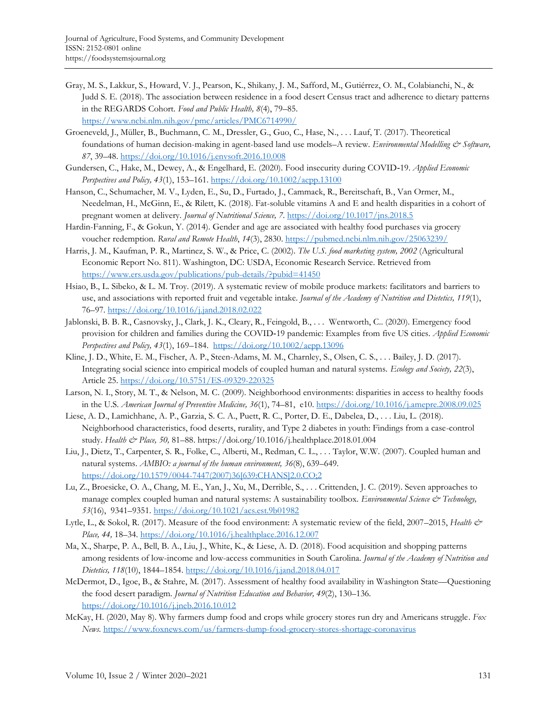- Gray, M. S., Lakkur, S., Howard, V. J., Pearson, K., Shikany, J. M., Safford, M., Gutiérrez, O. M., Colabianchi, N., & Judd S. E. (2018). The association between residence in a food desert Census tract and adherence to dietary patterns in the REGARDS Cohort. *Food and Public Health, 8*(4), 79–85. https://www.ncbi.nlm.nih.gov/pmc/articles/PMC6714990/
- Groeneveld, J., Müller, B., Buchmann, C. M., Dressler, G., Guo, C., Hase, N., . . . Lauf, T. (2017). Theoretical foundations of human decision-making in agent-based land use models–A review. *Environmental Modelling & Software, 87*, 39–48. https://doi.org/10.1016/j.envsoft.2016.10.008
- Gundersen, C., Hake, M., Dewey, A., & Engelhard, E. (2020). Food insecurity during COVID‐19. *Applied Economic Perspectives and Policy, 43*(1), 153–161. https://doi.org/10.1002/aepp.13100
- Hanson, C., Schumacher, M. V., Lyden, E., Su, D., Furtado, J., Cammack, R., Bereitschaft, B., Van Ormer, M., Needelman, H., McGinn, E., & Rilett, K. (2018). Fat-soluble vitamins A and E and health disparities in a cohort of pregnant women at delivery. *Journal of Nutritional Science, 7*. https://doi.org/10.1017/jns.2018.5
- Hardin-Fanning, F., & Gokun, Y. (2014). Gender and age are associated with healthy food purchases via grocery voucher redemption. *Rural and Remote Health*, *14*(3), 2830. https://pubmed.ncbi.nlm.nih.gov/25063239/
- Harris, J. M., Kaufman, P. R., Martinez, S. W., & Price, C. (2002). *The U.S. food marketing system, 2002* (Agricultural Economic Report No. 811). Washington, DC: USDA, Economic Research Service. Retrieved from https://www.ers.usda.gov/publications/pub-details/?pubid=41450
- Hsiao, B., L. Sibeko, & L. M. Troy. (2019). A systematic review of mobile produce markets: facilitators and barriers to use, and associations with reported fruit and vegetable intake. *Journal of the Academy of Nutrition and Dietetics, 119*(1), 76–97. https://doi.org/10.1016/j.jand.2018.02.022
- Jablonski, B. B. R., Casnovsky, J., Clark, J. K., Cleary, R., Feingold, B., . . . Wentworth, C.. (2020). Emergency food provision for children and families during the COVID‐19 pandemic: Examples from five US cities. *Applied Economic Perspectives and Policy, 43*(1), 169–184. https://doi.org/10.1002/aepp.13096
- Kline, J. D., White, E. M., Fischer, A. P., Steen-Adams, M. M., Charnley, S., Olsen, C. S., . . . Bailey, J. D. (2017). Integrating social science into empirical models of coupled human and natural systems. *Ecology and Society, 22*(3), Article 25. https://doi.org/10.5751/ES-09329-220325
- Larson, N. I., Story, M. T., & Nelson, M. C. (2009). Neighborhood environments: disparities in access to healthy foods in the U.S. *American Journal of Preventive Medicine, 36*(1), 74–81, e10. https://doi.org/10.1016/j.amepre.2008.09.025
- Liese, A. D., Lamichhane, A. P., Garzia, S. C. A., Puett, R. C., Porter, D. E., Dabelea, D., . . . Liu, L. (2018). Neighborhood characteristics, food deserts, rurality, and Type 2 diabetes in youth: Findings from a case-control study. *Health & Place, 50,* 81–88. https://doi.org/10.1016/j.healthplace.2018.01.004
- Liu, J., Dietz, T., Carpenter, S. R., Folke, C., Alberti, M., Redman, C. L., . . . Taylor, W.W. (2007). Coupled human and natural systems. *AMBIO: a journal of the human environment, 36*(8), 639–649. [https://doi.org/10.1579/0044-7447\(2007\)36\[639:CHANS\]2.0.CO;2](https://doi.org/10.1579/0044-7447(2007)36[639:CHANS]2.0.CO;2)
- Lu, Z., Broesicke, O. A., Chang, M. E., Yan, J., Xu, M., Derrible, S., . . . Crittenden, J. C. (2019). Seven approaches to manage complex coupled human and natural systems: A sustainability toolbox. *Environmental Science & Technology, 53*(16), 9341–9351. https://doi.org/10.1021/acs.est.9b01982
- Lytle, L., & Sokol, R. (2017). Measure of the food environment: A systematic review of the field, 2007–2015, *Health & Place, 44,* 18–34. https://doi.org/10.1016/j.healthplace.2016.12.007
- Ma, X., Sharpe, P. A., Bell, B. A., Liu, J., White, K., & Liese, A. D. (2018). Food acquisition and shopping patterns among residents of low-income and low-access communities in South Carolina. *Journal of the Academy of Nutrition and Dietetics, 118*(10), 1844–1854. https://doi.org/10.1016/j.jand.2018.04.017
- McDermot, D., Igoe, B., & Stahre, M. (2017). Assessment of healthy food availability in Washington State—Questioning the food desert paradigm. *Journal of Nutrition Education and Behavior, 49*(2), 130–136. https://doi.org/10.1016/j.jneb.2016.10.012
- McKay, H. (2020, May 8). Why farmers dump food and crops while grocery stores run dry and Americans struggle. *Fox News*. https://www.foxnews.com/us/farmers-dump-food-grocery-stores-shortage-coronavirus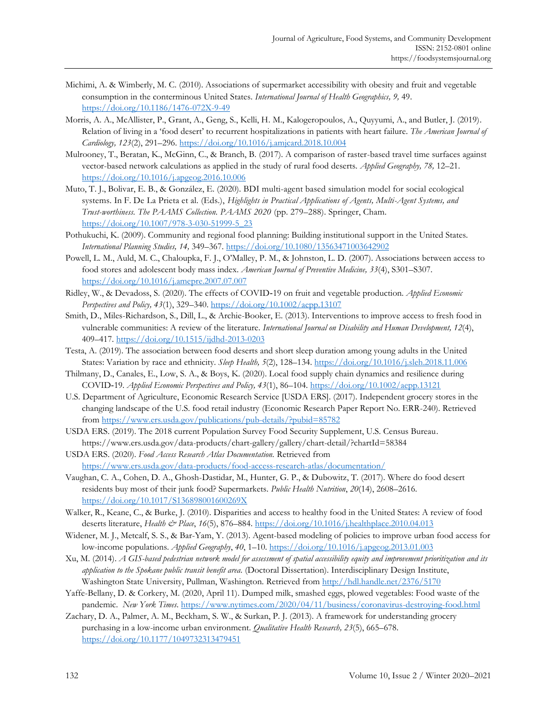- Michimi, A. & Wimberly, M. C. (2010). Associations of supermarket accessibility with obesity and fruit and vegetable consumption in the conterminous United States*. International Journal of Health Geographics, 9,* 49. https://doi.org/10.1186/1476-072X-9-49
- Morris, A. A., McAllister, P., Grant, A., Geng, S., Kelli, H. M., Kalogeropoulos, A., Quyyumi, A., and Butler, J. (2019). Relation of living in a 'food desert' to recurrent hospitalizations in patients with heart failure. *The American Journal of Cardiology, 123*(2), 291–296. https://doi.org/10.1016/j.amjcard.2018.10.004
- Mulrooney, T., Beratan, K., McGinn, C., & Branch, B. (2017). A comparison of raster-based travel time surfaces against vector-based network calculations as applied in the study of rural food deserts. *Applied Geography, 78,* 12–21. https://doi.org/10.1016/j.apgeog.2016.10.006
- Muto, T. J., Bolivar, E. B., & González, E. (2020). BDI multi-agent based simulation model for social ecological systems. In F. De La Prieta et al. (Eds.), *Highlights in Practical Applications of Agents, Multi-Agent Systems, and Trust-worthiness. The PAAMS Collection. PAAMS 2020* (pp. 279–288). Springer, Cham. https://doi.org/10.1007/978-3-030-51999-5\_23
- Pothukuchi, K. (2009). Community and regional food planning: Building institutional support in the United States. *International Planning Studies, 14,* 349–367. https://doi.org/10.1080/13563471003642902
- Powell, L. M., Auld, M. C., Chaloupka, F. J., O'Malley, P. M., & Johnston, L. D. (2007). Associations between access to food stores and adolescent body mass index. *American Journal of Preventive Medicine, 33*(4), S301–S307. https://doi.org/10.1016/j.amepre.2007.07.007
- Ridley, W., & Devadoss, S. (2020). The effects of COVID‐19 on fruit and vegetable production. *Applied Economic Perspectives and Policy, 43*(1), 329–340. https://doi.org/10.1002/aepp.13107
- Smith, D., Miles-Richardson, S., Dill, L., & Archie-Booker, E. (2013). Interventions to improve access to fresh food in vulnerable communities: A review of the literature. *International Journal on Disability and Human Development, 12*(4), 409–417. https://doi.org/10.1515/ijdhd-2013-0203
- Testa, A. (2019). The association between food deserts and short sleep duration among young adults in the United States: Variation by race and ethnicity. *Sleep Health, 5*(2), 128–134. https://doi.org/10.1016/j.sleh.2018.11.006
- Thilmany, D., Canales, E., Low, S. A., & Boys, K. (2020). Local food supply chain dynamics and resilience during COVID‐19. *Applied Economic Perspectives and Policy, 43*(1), 86–104. https://doi.org/10.1002/aepp.13121
- U.S. Department of Agriculture, Economic Research Service [USDA ERS]. (2017). Independent grocery stores in the changing landscape of the U.S. food retail industry (Economic Research Paper Report No. ERR-240). Retrieved from https://www.ers.usda.gov/publications/pub-details/?pubid=85782
- USDA ERS. (2019). The 2018 current Population Survey Food Security Supplement, U.S. Census Bureau. https://www.ers.usda.gov/data-products/chart-gallery/gallery/chart-detail/?chartId=58384
- USDA ERS. (2020). *Food Access Research Atlas Documentation.* Retrieved from https://www.ers.usda.gov/data-products/food-access-research-atlas/documentation/
- Vaughan, C. A., Cohen, D. A., Ghosh-Dastidar, M., Hunter, G. P., & Dubowitz, T. (2017). Where do food desert residents buy most of their junk food? Supermarkets. *Public Health Nutrition*, *20*(14), 2608–2616. https://doi.org/10.1017/S136898001600269X
- Walker, R., Keane, C., & Burke, J. (2010). Disparities and access to healthy food in the United States: A review of food deserts literature, *Health & Place*, *16*(5), 876–884. https://doi.org/10.1016/j.healthplace.2010.04.013
- Widener, M. J., Metcalf, S. S., & Bar-Yam, Y. (2013). Agent-based modeling of policies to improve urban food access for low-income populations. *Applied Geography*, *40*, 1–10. https://doi.org/10.1016/j.apgeog.2013.01.003
- Xu, M. (2014). *A GIS-based pedestrian network model for assessment of spatial accessibility equity and improvement prioritization and its application to the Spokane public transit benefit area.* (Doctoral Dissertation). Interdisciplinary Design Institute, Washington State University, Pullman, Washington. Retrieved from http://hdl.handle.net/2376/5170
- Yaffe-Bellany, D. & Corkery, M. (2020, April 11). Dumped milk, smashed eggs, plowed vegetables: Food waste of the pandemic. *New York Times*. https://www.nytimes.com/2020/04/11/business/coronavirus-destroying-food.html
- Zachary, D. A., Palmer, A. M., Beckham, S. W., & Surkan, P. J. (2013). A framework for understanding grocery purchasing in a low-income urban environment. *Qualitative Health Research, 23*(5), 665–678. https://doi.org/10.1177/1049732313479451